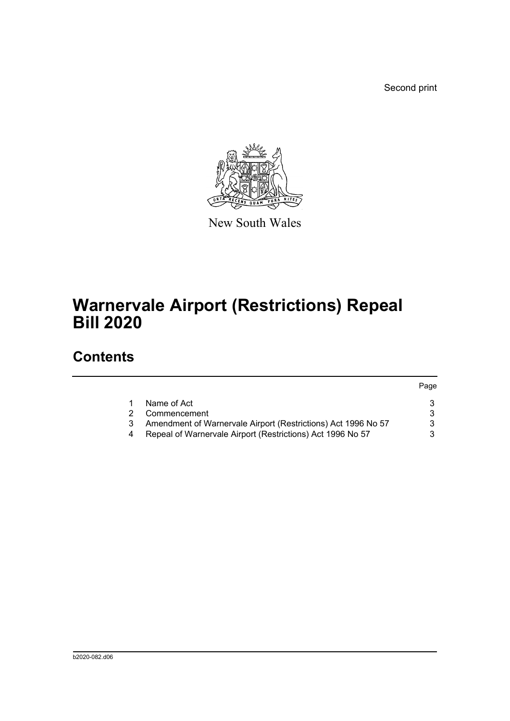Second print



New South Wales

## **Warnervale Airport (Restrictions) Repeal Bill 2020**

## **Contents**

|                                                               | Page |
|---------------------------------------------------------------|------|
| Name of Act                                                   |      |
| Commencement                                                  |      |
| Amendment of Warnervale Airport (Restrictions) Act 1996 No 57 |      |
| Repeal of Warnervale Airport (Restrictions) Act 1996 No 57    |      |
|                                                               |      |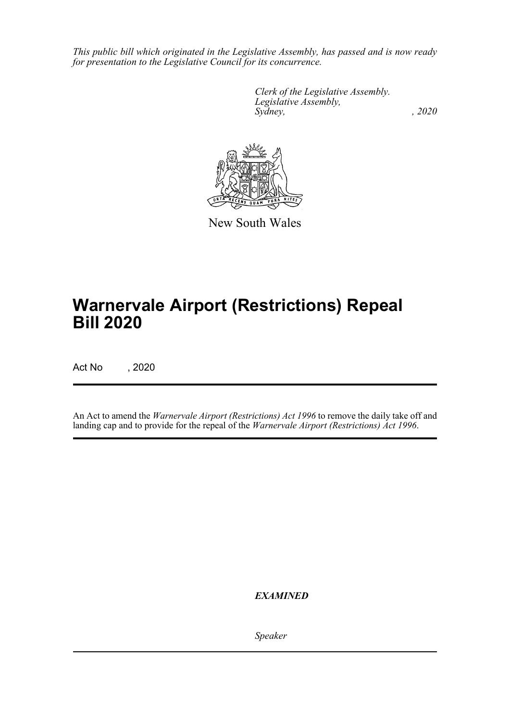*This public bill which originated in the Legislative Assembly, has passed and is now ready for presentation to the Legislative Council for its concurrence.*

> *Clerk of the Legislative Assembly. Legislative Assembly, Sydney, , 2020*



New South Wales

## **Warnervale Airport (Restrictions) Repeal Bill 2020**

Act No , 2020

An Act to amend the *Warnervale Airport (Restrictions) Act 1996* to remove the daily take off and landing cap and to provide for the repeal of the *Warnervale Airport (Restrictions) Act 1996*.

*EXAMINED*

*Speaker*